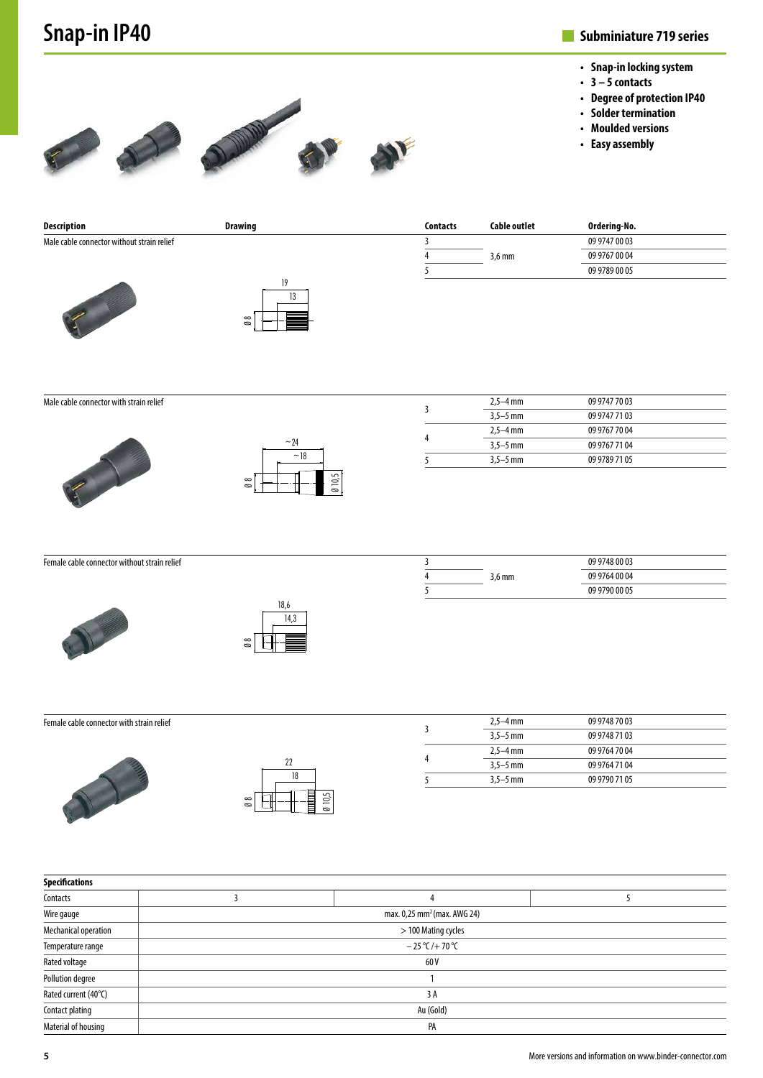# **Snap-in IP40**

### **Subminiature 719 series**

- **• Snap-in locking system**
- **• 3 5 contacts**
- **• Degree of protection IP40**
- **• Solder termination**
- **• Moulded versions**
- **• Easy assembly**







| Description                                | Drawing | <b>Contacts</b> | Cable outlet     | Ordering-No.  |  |
|--------------------------------------------|---------|-----------------|------------------|---------------|--|
| Male cable connector without strain relief |         |                 |                  | 09 9747 00 03 |  |
|                                            |         |                 | $3.6 \text{ mm}$ | 09 9767 00 04 |  |
|                                            |         |                 |                  | 09 9789 00 05 |  |
|                                            |         |                 |                  |               |  |
|                                            | 13      |                 |                  |               |  |

Male cable connector with strain relief





Ø 8

| 5 | $3.5 - 5$ mm | 09 9789 71 05 |
|---|--------------|---------------|
|   | $3.5 - 5$ mm | 09 9767 71 04 |
| 4 | $2.5 - 4$ mm | 09 9767 70 04 |
|   | $3.5 - 5$ mm | 09 9747 71 03 |
| 3 | $2,5 - 4$ mm | 09 9747 70 03 |
|   |              |               |

Female cable connector without strain relief





|                  | 09 9748 00 03 |  |
|------------------|---------------|--|
| $3.6 \text{ mm}$ | 09 9764 00 04 |  |
|                  | 09 9790 00 05 |  |

| Female cable connector with strain relief |                                        |  |
|-------------------------------------------|----------------------------------------|--|
|                                           | 22<br>10,5<br>$\infty$<br>$\circ$<br>Ø |  |

| $2.5 - 4$ mm | 09 9748 70 03 |
|--------------|---------------|
| $3.5 - 5$ mm | 09 9748 71 03 |
| $2.5 - 4$ mm | 09 9764 70 04 |
| $3.5 - 5$ mm | 09 9764 71 04 |
| $3.5 - 5$ mm | 09 9790 71 05 |

| Specifications          |                                         |  |  |  |  |  |
|-------------------------|-----------------------------------------|--|--|--|--|--|
| Contacts                |                                         |  |  |  |  |  |
| Wire gauge              | max. 0,25 mm <sup>2</sup> (max. AWG 24) |  |  |  |  |  |
| Mechanical operation    | > 100 Mating cycles                     |  |  |  |  |  |
| Temperature range       | $-25$ °C/+70 °C                         |  |  |  |  |  |
| Rated voltage           | 60 V                                    |  |  |  |  |  |
| <b>Pollution degree</b> |                                         |  |  |  |  |  |
| Rated current (40°C)    | 3A                                      |  |  |  |  |  |
| Contact plating         | Au (Gold)                               |  |  |  |  |  |
| Material of housing     | PA                                      |  |  |  |  |  |